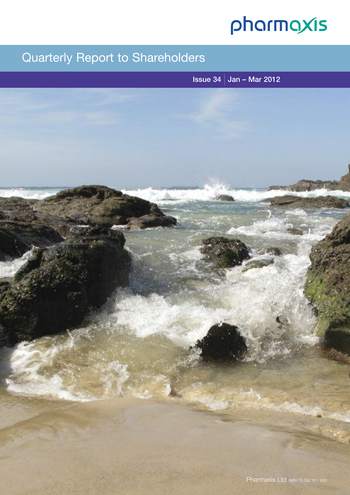# pharmaxis

## Quarterly Report to Shareholders

Issue 34  $\vert$  Jan – Mar 2012

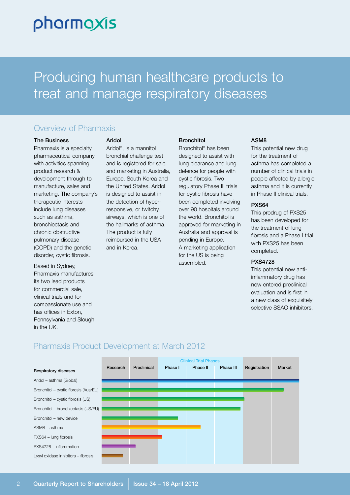# pharmaxis

# Producing human healthcare products to treat and manage respiratory diseases

## Overview of Pharmaxis

#### The Business

Pharmaxis is a specialty pharmaceutical company with activities spanning product research & development through to manufacture, sales and marketing. The company's therapeutic interests include lung diseases such as asthma, bronchiectasis and chronic obstructive pulmonary disease (COPD) and the genetic disorder, cystic fibrosis.

Based in Sydney, Pharmaxis manufactures its two lead products for commercial sale, clinical trials and for compassionate use and has offices in Exton, Pennsylvania and Slough in the UK.

#### Aridol

Aridol ®, is a mannitol bronchial challenge test and is registered for sale and marketing in Australia, Europe, South Korea and the United States. Aridol is designed to assist in the detection of hyperresponsive, or twitchy, airways, which is one of the hallmarks of asthma. The product is fully reimbursed in the USA and in Korea.

#### **Bronchitol**

Bronchitol ® has been designed to assist with lung clearance and lung defence for people with cystic fibrosis. Two regulatory Phase III trials for cystic fibrosis have been completed involving over 90 hospitals around the world. Bronchitol is approved for marketing in Australia and approval is pending in Europe. A marketing application for the US is being assembled.

#### ASM8

This potential new drug for the treatment of asthma has completed a number of clinical trials in people affected by allergic asthma and it is currently in Phase II clinical trials.

#### PXS64

This prodrug of PXS25 has been developed for the treatment of lung fibrosis and a Phase I trial with PXS25 has been completed.

#### PXS4728

This potential new antiinflammatory drug has now entered preclinical evaluation and is first in a new class of exquisitely selective SSAO inhibitors.



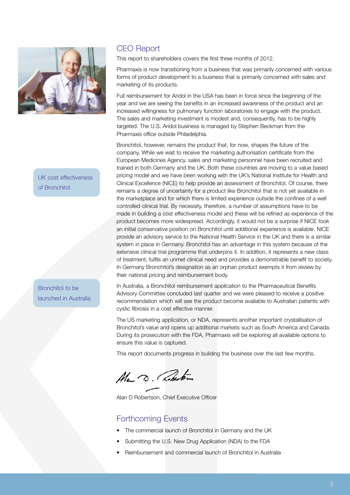

UK cost effectiveness of Bronchitol

Bronchitol to be launched in Australia

## CEO Report

This report to shareholders covers the first three months of 2012.

Pharmaxis is now transitioning from a business that was primarily concerned with various forms of product development to a business that is primarily concerned with sales and marketing of its products.

Full reimbursement for Aridol in the USA has been in force since the beginning of the year and we are seeing the benefits in an increased awareness of the product and an increased willingness for pulmonary function laboratories to engage with the product. The sales and marketing investment is modest and, consequently, has to be highly targeted. The U.S. Aridol business is managed by Stephen Beckman from the Pharmaxis office outside Philadelphia.

Bronchitol, however, remains the product that, for now, shapes the future of the company. While we wait to receive the marketing authorisation certificate from the European Medicines Agency, sales and marketing personnel have been recruited and trained in both Germany and the UK. Both these countries are moving to a value based pricing model and we have been working with the UK's National Institute for Health and Clinical Excellence (NICE) to help provide an assessment of Bronchitol. Of course, there remains a degree of uncertainty for a product like Bronchitol that is not yet available in the marketplace and for which there is limited experience outside the confines of a well controlled clinical trial. By necessity, therefore, a number of assumptions have to be made in building a cost effectiveness model and these will be refined as experience of the product becomes more widespread. Accordingly, it would not be a surprise if NICE took an initial conservative position on Bronchitol until additional experience is available. NICE provide an advisory service to the National Health Service in the UK and there is a similar system in place in Germany. Bronchitol has an advantage in this system because of the extensive clinical trial programme that underpins it. In addition, it represents a new class of treatment, fulfils an unmet clinical need and provides a demonstrable benefit to society. In Germany Bronchitol's designation as an orphan product exempts it from review by their national pricing and reimbursement body.

In Australia, a Bronchitol reimbursement application to the Pharmaceutical Benefits Advisory Committee concluded last quarter and we were pleased to receive a positive recommendation which will see the product become available to Australian patients with cystic fibrosis in a cost effective manner.

The US marketing application, or NDA, represents another important crystallisation of Bronchitol's value and opens up additional markets such as South America and Canada. During its prosecution with the FDA, Pharmaxis will be exploring all available options to ensure this value is captured.

This report documents progress in building the business over the last few months.

Ala D. Roberton

Alan D Robertson, Chief Executive Officer

### Forthcoming Events

- The commercial launch of Bronchitol in Germany and the UK
- Submitting the U.S. New Drug Application (NDA) to the FDA
- Reimbursement and commercial launch of Bronchitol in Australia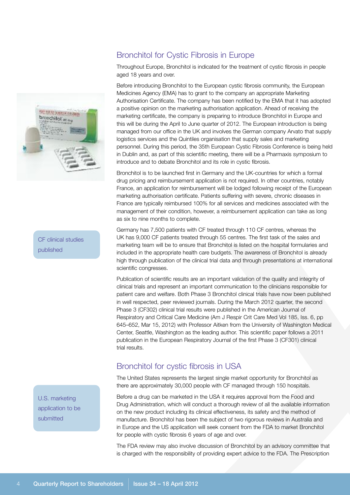## Bronchitol for Cystic Fibrosis in Europe

Throughout Europe, Bronchitol is indicated for the treatment of cystic fibrosis in people aged 18 years and over.

Before introducing Bronchitol to the European cystic fibrosis community, the European Medicines Agency (EMA) has to grant to the company an appropriate Marketing Authorisation Certificate. The company has been notified by the EMA that it has adopted a positive opinion on the marketing authorisation application. Ahead of receiving the marketing certificate, the company is preparing to introduce Bronchitol in Europe and this will be during the April to June quarter of 2012. The European introduction is being managed from our office in the UK and involves the German company Arvato that supply logistics services and the Quintiles organisation that supply sales and marketing personnel. During this period, the 35th European Cystic Fibrosis Conference is being held in Dublin and, as part of this scientific meeting, there will be a Pharmaxis symposium to introduce and to debate Bronchitol and its role in cystic fibrosis.

Bronchitol is to be launched first in Germany and the UK-countries for which a formal drug pricing and reimbursement application is not required. In other countries, notably France, an application for reimbursement will be lodged following receipt of the European marketing authorisation certificate. Patients suffering with severe, chronic diseases in France are typically reimbursed 100% for all services and medicines associated with the management of their condition, however, a reimbursement application can take as long as six to nine months to complete.

Germany has 7,500 patients with CF treated through 110 CF centres, whereas the UK has 9,000 CF patients treated through 55 centres. The first task of the sales and marketing team will be to ensure that Bronchitol is listed on the hospital formularies and included in the appropriate health care budgets. The awareness of Bronchitol is already high through publication of the clinical trial data and through presentations at international scientific congresses.

Publication of scientific results are an important validation of the quality and integrity of clinical trials and represent an important communication to the clinicians responsible for patient care and welfare. Both Phase 3 Bronchitol clinical trials have now been published in well respected, peer reviewed journals. During the March 2012 quarter, the second Phase 3 (CF302) clinical trial results were published in the American Journal of Respiratory and Critical Care Medicine (Am J Respir Crit Care Med Vol 185, Iss. 6, pp 645–652, Mar 15, 2012) with Professor Aitken from the University of Washington Medical Center, Seattle, Washington as the leading author. This scientific paper follows a 2011 publication in the European Respiratory Journal of the first Phase 3 (CF301) clinical trial results.

## Bronchitol for cystic fibrosis in USA

The United States represents the largest single market opportunity for Bronchitol as there are approximately 30,000 people with CF managed through 150 hospitals.

Before a drug can be marketed in the USA it requires approval from the Food and Drug Administration, which will conduct a thorough review of all the available information on the new product including its clinical effectiveness, its safety and the method of manufacture. Bronchitol has been the subject of two rigorous reviews in Australia and in Europe and the US application will seek consent from the FDA to market Bronchitol for people with cystic fibrosis 6 years of age and over.

The FDA review may also involve discussion of Bronchitol by an advisory committee that is charged with the responsibility of providing expert advice to the FDA. The Prescription



CF clinical studies published

U.S. marketing application to be submitted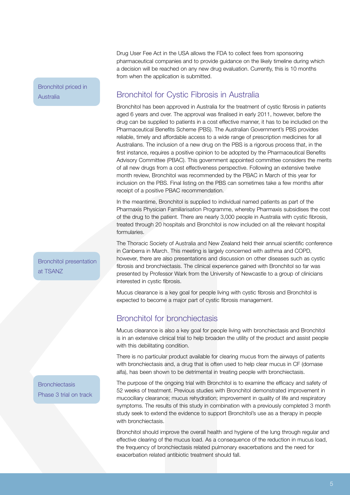Bronchitol priced in **Australia** 

Drug User Fee Act in the USA allows the FDA to collect fees from sponsoring pharmaceutical companies and to provide guidance on the likely timeline during which a decision will be reached on any new drug evaluation. Currently, this is 10 months from when the application is submitted.

## Bronchitol for Cystic Fibrosis in Australia

Bronchitol has been approved in Australia for the treatment of cystic fibrosis in patients aged 6 years and over. The approval was finalised in early 2011, however, before the drug can be supplied to patients in a cost effective manner, it has to be included on the Pharmaceutical Benefits Scheme (PBS). The Australian Government's PBS provides reliable, timely and affordable access to a wide range of prescription medicines for all Australians. The inclusion of a new drug on the PBS is a rigorous process that, in the first instance, requires a positive opinion to be adopted by the Pharmaceutical Benefits Advisory Committee (PBAC). This government appointed committee considers the merits of all new drugs from a cost effectiveness perspective. Following an extensive twelve month review, Bronchitol was recommended by the PBAC in March of this year for inclusion on the PBS. Final listing on the PBS can sometimes take a few months after receipt of a positive PBAC recommendation.

In the meantime, Bronchitol is supplied to individual named patients as part of the Pharmaxis Physician Familiarisation Programme, whereby Pharmaxis subsidises the cost of the drug to the patient. There are nearly 3,000 people in Australia with cystic fibrosis, treated through 20 hospitals and Bronchitol is now included on all the relevant hospital formularies.

The Thoracic Society of Australia and New Zealand held their annual scientific conference in Canberra in March. This meeting is largely concerned with asthma and COPD, however, there are also presentations and discussion on other diseases such as cystic fibrosis and bronchiectasis. The clinical experience gained with Bronchitol so far was presented by Professor Wark from the University of Newcastle to a group of clinicians interested in cystic fibrosis.

Mucus clearance is a key goal for people living with cystic fibrosis and Bronchitol is expected to become a major part of cystic fibrosis management.

## Bronchitol for bronchiectasis

Mucus clearance is also a key goal for people living with bronchiectasis and Bronchitol is in an extensive clinical trial to help broaden the utility of the product and assist people with this debilitating condition.

There is no particular product available for clearing mucus from the airways of patients with bronchiectasis and, a drug that is often used to help clear mucus in CF (dornase alfa), has been shown to be detrimental in treating people with bronchiectasis.

The purpose of the ongoing trial with Bronchitol is to examine the efficacy and safety of 52 weeks of treatment. Previous studies with Bronchitol demonstrated improvement in mucociliary clearance; mucus rehydration; improvement in quality of life and respiratory symptoms. The results of this study in combination with a previously completed 3 month study seek to extend the evidence to support Bronchitol's use as a therapy in people with bronchiectasis.

Bronchitol should improve the overall health and hygiene of the lung through regular and effective clearing of the mucus load. As a consequence of the reduction in mucus load, the frequency of bronchiectasis related pulmonary exacerbations and the need for exacerbation related antibiotic treatment should fall.

Bronchitol presentation at TSANZ

**Bronchiectasis** Phase 3 trial on track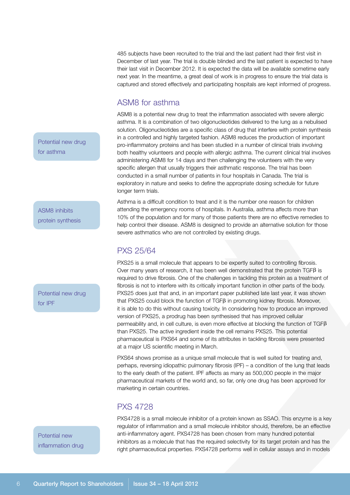485 subjects have been recruited to the trial and the last patient had their first visit in December of last year. The trial is double blinded and the last patient is expected to have their last visit in December 2012. It is expected the data will be available sometime early next year. In the meantime, a great deal of work is in progress to ensure the trial data is captured and stored effectively and participating hospitals are kept informed of progress.

### ASM8 for asthma

ASM8 is a potential new drug to treat the inflammation associated with severe allergic asthma. It is a combination of two oligonucleotides delivered to the lung as a nebulised solution. Oligonucleotides are a specific class of drug that interfere with protein synthesis in a controlled and highly targeted fashion. ASM8 reduces the production of important pro-inflammatory proteins and has been studied in a number of clinical trials involving both healthy volunteers and people with allergic asthma. The current clinical trial involves administering ASM8 for 14 days and then challenging the volunteers with the very specific allergen that usually triggers their asthmatic response. The trial has been conducted in a small number of patients in four hospitals in Canada. The trial is exploratory in nature and seeks to define the appropriate dosing schedule for future longer term trials.

Asthma is a difficult condition to treat and it is the number one reason for children attending the emergency rooms of hospitals. In Australia, asthma affects more than 10% of the population and for many of those patients there are no effective remedies to help control their disease. ASM8 is designed to provide an alternative solution for those severe asthmatics who are not controlled by existing drugs.

## PXS 25/64

PXS25 is a small molecule that appears to be expertly suited to controlling fibrosis. Over many years of research, it has been well demonstrated that the protein  $TGF\beta$  is required to drive fibrosis. One of the challenges in tackling this protein as a treatment of fibrosis is not to interfere with its critically important function in other parts of the body. PXS25 does just that and, in an important paper published late last year, it was shown that PXS25 could block the function of TGFB in promoting kidney fibrosis. Moreover, it is able to do this without causing toxicity. In considering how to produce an improved version of PXS25, a prodrug has been synthesised that has improved cellular permeability and, in cell culture, is even more effective at blocking the function of  $TGF\beta$ than PXS25. The active ingredient inside the cell remains PXS25. This potential pharmaceutical is PXS64 and some of its attributes in tackling fibrosis were presented at a major US scientific meeting in March.

PXS64 shows promise as a unique small molecule that is well suited for treating and, perhaps, reversing idiopathic pulmonary fibrosis (IPF) – a condition of the lung that leads to the early death of the patient. IPF affects as many as 500,000 people in the major pharmaceutical markets of the world and, so far, only one drug has been approved for marketing in certain countries.

## PXS 4728

PXS4728 is a small molecule inhibitor of a protein known as SSAO. This enzyme is a key regulator of inflammation and a small molecule inhibitor should, therefore, be an effective anti-inflammatory agent. PXS4728 has been chosen from many hundred potential inhibitors as a molecule that has the required selectivity for its target protein and has the right pharmaceutical properties. PXS4728 performs well in cellular assays and in models

Potential new drug for asthma

ASM8 inhibits protein synthesis

Potential new drug for IPF

Potential new inflammation drug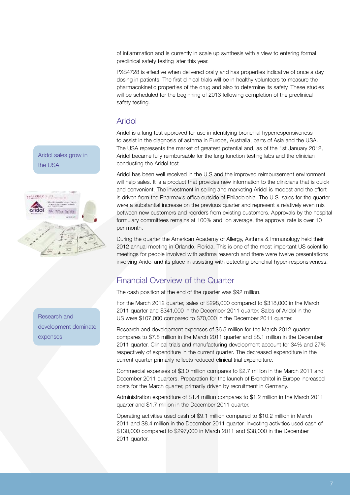of inflammation and is currently in scale up synthesis with a view to entering formal preclinical safety testing later this year.

PXS4728 is effective when delivered orally and has properties indicative of once a day dosing in patients. The first clinical trials will be in healthy volunteers to measure the pharmacokinetic properties of the drug and also to determine its safety. These studies will be scheduled for the beginning of 2013 following completion of the preclinical safety testing.

## Aridol

Aridol is a lung test approved for use in identifying bronchial hyperresponsiveness to assist in the diagnosis of asthma in Europe, Australia, parts of Asia and the USA. The USA represents the market of greatest potential and, as of the 1st January 2012, Aridol became fully reimbursable for the lung function testing labs and the clinician conducting the Aridol test.

Aridol has been well received in the U.S and the improved reimbursement environment will help sales. It is a product that provides new information to the clinicians that is quick and convenient. The investment in selling and marketing Aridol is modest and the effort is driven from the Pharmaxis office outside of Philadelphia. The U.S. sales for the quarter were a substantial increase on the previous quarter and represent a relatively even mix between new customers and reorders from existing customers. Approvals by the hospital formulary committees remains at 100% and, on average, the approval rate is over 10 per month.

During the quarter the American Academy of Allergy, Asthma & Immunology held their 2012 annual meeting in Orlando, Florida. This is one of the most important US scientific meetings for people involved with asthma research and there were twelve presentations involving Aridol and its place in assisting with detecting bronchial hyper-responsiveness.

## Financial Overview of the Quarter

The cash position at the end of the quarter was \$92 million.

For the March 2012 quarter, sales of \$298,000 compared to \$318,000 in the March 2011 quarter and \$341,000 in the December 2011 quarter. Sales of Aridol in the US were \$107,000 compared to \$70,000 in the December 2011 quarter.

Research and development expenses of \$6.5 million for the March 2012 quarter compares to \$7.8 million in the March 2011 quarter and \$8.1 million in the December 2011 quarter. Clinical trials and manufacturing development account for 34% and 27% respectively of expenditure in the current quarter. The decreased expenditure in the current quarter primarily reflects reduced clinical trial expenditure.

Commercial expenses of \$3.0 million compares to \$2.7 million in the March 2011 and December 2011 quarters. Preparation for the launch of Bronchitol in Europe increased costs for the March quarter, primarily driven by recruitment in Germany.

Administration expenditure of \$1.4 million compares to \$1.2 million in the March 2011 quarter and \$1.7 million in the December 2011 quarter.

Operating activities used cash of \$9.1 million compared to \$10.2 million in March 2011 and \$8.4 million in the December 2011 quarter. Investing activities used cash of \$130,000 compared to \$297,000 in March 2011 and \$38,000 in the December 2011 quarter.

Aridol sales grow in the USA



Research and development dominate expenses